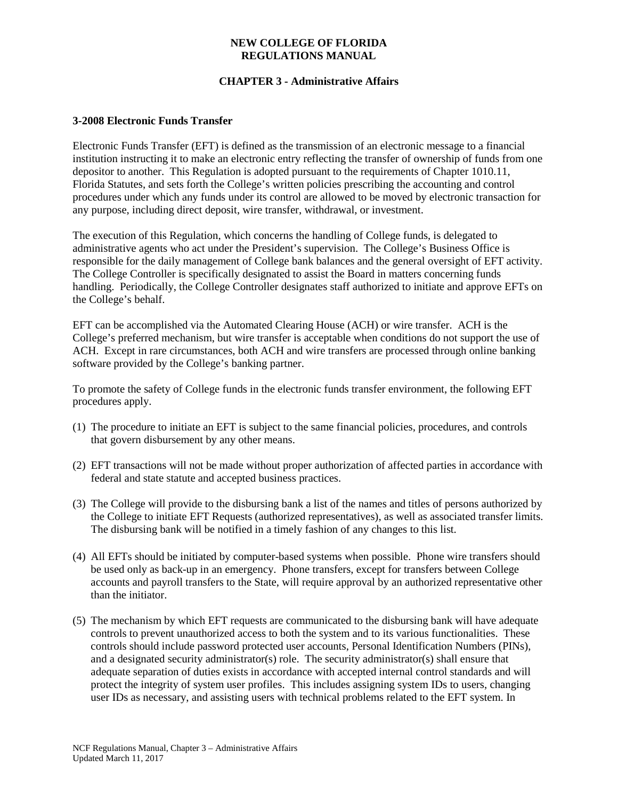## **NEW COLLEGE OF FLORIDA REGULATIONS MANUAL**

# **CHAPTER 3 - Administrative Affairs**

#### **3-2008 Electronic Funds Transfer**

Electronic Funds Transfer (EFT) is defined as the transmission of an electronic message to a financial institution instructing it to make an electronic entry reflecting the transfer of ownership of funds from one depositor to another. This Regulation is adopted pursuant to the requirements of Chapter 1010.11, Florida Statutes, and sets forth the College's written policies prescribing the accounting and control procedures under which any funds under its control are allowed to be moved by electronic transaction for any purpose, including direct deposit, wire transfer, withdrawal, or investment.

The execution of this Regulation, which concerns the handling of College funds, is delegated to administrative agents who act under the President's supervision. The College's Business Office is responsible for the daily management of College bank balances and the general oversight of EFT activity. The College Controller is specifically designated to assist the Board in matters concerning funds handling. Periodically, the College Controller designates staff authorized to initiate and approve EFTs on the College's behalf.

EFT can be accomplished via the Automated Clearing House (ACH) or wire transfer. ACH is the College's preferred mechanism, but wire transfer is acceptable when conditions do not support the use of ACH. Except in rare circumstances, both ACH and wire transfers are processed through online banking software provided by the College's banking partner.

To promote the safety of College funds in the electronic funds transfer environment, the following EFT procedures apply.

- (1) The procedure to initiate an EFT is subject to the same financial policies, procedures, and controls that govern disbursement by any other means.
- (2) EFT transactions will not be made without proper authorization of affected parties in accordance with federal and state statute and accepted business practices.
- (3) The College will provide to the disbursing bank a list of the names and titles of persons authorized by the College to initiate EFT Requests (authorized representatives), as well as associated transfer limits. The disbursing bank will be notified in a timely fashion of any changes to this list.
- (4) All EFTs should be initiated by computer-based systems when possible. Phone wire transfers should be used only as back-up in an emergency. Phone transfers, except for transfers between College accounts and payroll transfers to the State, will require approval by an authorized representative other than the initiator.
- (5) The mechanism by which EFT requests are communicated to the disbursing bank will have adequate controls to prevent unauthorized access to both the system and to its various functionalities. These controls should include password protected user accounts, Personal Identification Numbers (PINs), and a designated security administrator(s) role. The security administrator(s) shall ensure that adequate separation of duties exists in accordance with accepted internal control standards and will protect the integrity of system user profiles. This includes assigning system IDs to users, changing user IDs as necessary, and assisting users with technical problems related to the EFT system. In